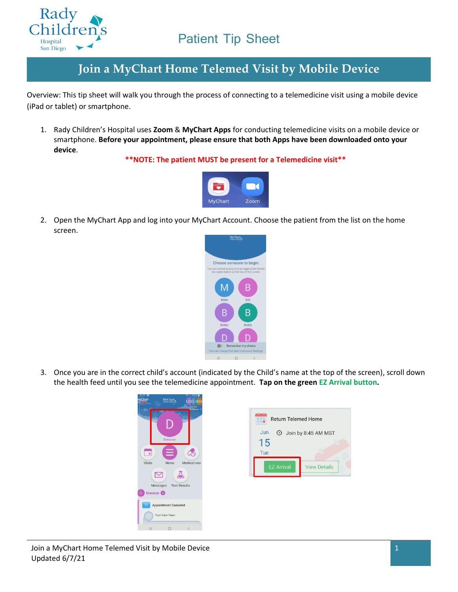

#### **Join a MyChart Home Telemed Visit by Mobile Device**

Overview: This tip sheet will walk you through the process of connecting to a telemedicine visit using a mobile device (iPad or tablet) or smartphone.

1. Rady Children's Hospital uses **Zoom** & **MyChart Apps** for conducting telemedicine visits on a mobile device or smartphone. **Before your appointment, please ensure that both Apps have been downloaded onto your device**.

**\*\*NOTE: The patient MUST be present for a Telemedicine visit\*\***



2. Open the MyChart App and log into your MyChart Account. Choose the patient from the list on the home screen.



3. Once you are in the correct child's account (indicated by the Child's name at the top of the screen), scroll down the health feed until you see the telemedicine appointment. **Tap on the green EZ Arrival button.**

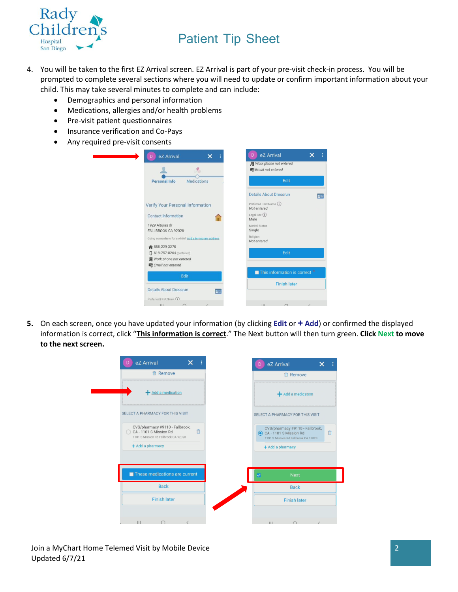

- 4. You will be taken to the first EZ Arrival screen. EZ Arrival is part of your pre-visit check-in process. You will be prompted to complete several sections where you will need to update or confirm important information about your child. This may take several minutes to complete and can include:
	- Demographics and personal information
	- Medications, allergies and/or health problems
	- Pre-visit patient questionnaires
	- Insurance verification and Co-Pays
	- Any required pre-visit consents

|                                                                                             | 图 Work phone not entered<br>Email not entered  |
|---------------------------------------------------------------------------------------------|------------------------------------------------|
| Personal Info<br>Medications                                                                | Edit                                           |
|                                                                                             | <b>Details About Dressrun</b>                  |
| Verify Your Personal Information                                                            | Preferred First Name (i)<br>Not entered        |
| <b>Contact Information</b>                                                                  | Legal Sex $(i)$<br>Male                        |
| 1929 Alturas dr<br>FALLBROOK CA 92028                                                       | Marital Status<br>Single                       |
| Going somewhere for a while? Add a temporary address                                        | Religion<br>Not entered                        |
| 858-229-3270<br>[ 619-757-0264 (preferred)<br>图 Work phone not entered<br>Email not entered | Edit                                           |
| Edit                                                                                        | $\blacksquare$ This information is correct $*$ |
|                                                                                             | <b>Finish later</b>                            |
| <b>Details About Dressrun</b><br>$n =$<br>Preferred First Name (i)                          |                                                |
| 111                                                                                         | 111<br>$\cap$                                  |

**5.** On each screen, once you have updated your information (by clicking **Edit** or **+ Add**) or confirmed the displayed information is correct, click "**This information is correct**." The Next button will then turn green. **Click Next to move to the next screen.**

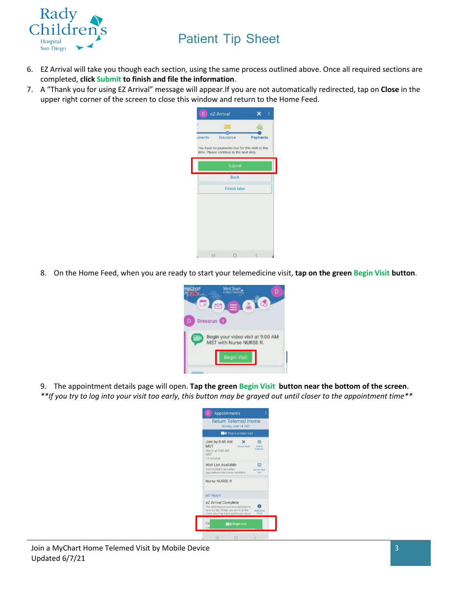

- 6. EZ Arrival will take you though each section, using the same process outlined above. Once all required sections are completed, **click Submit to finish and file the information**.
- 7. A "Thank you for using EZ Arrival" message will appear.If you are not automatically redirected, tap on **Close** in the upper right corner of the screen to close this window and return to the Home Feed.



8. On the Home Feed, when you are ready to start your telemedicine visit, **tap on the green Begin Visit button**.



9. The appointment details page will open. **Tap the green Begin Visit button near the bottom of the screen**. *\*\*If you try to log into your visit too early, this button may be grayed out until closer to the appointment time\*\**

| <b>Return Telemed Home</b><br>Monday, June 14, 2021                                                                                       |                                   |  |  |  |
|-------------------------------------------------------------------------------------------------------------------------------------------|-----------------------------------|--|--|--|
| <b>4</b> This is a video visit                                                                                                            |                                   |  |  |  |
| Join by 8:45 AM<br><b>MST</b><br>Cancel Appt<br>Starts at 9:00 AM<br><b>MST</b><br>15 minutes                                             | 酏<br>Add to<br>Calendar           |  |  |  |
| Wait List Available<br>Get notified if an earlier<br>appointment becomes available.                                                       | 伺<br>Get On Walt<br><b>E GALS</b> |  |  |  |
| Nurse NURSE R                                                                                                                             |                                   |  |  |  |
| <b>GET READY</b>                                                                                                                          |                                   |  |  |  |
| eZ Arrival Complete<br>The information you've submitted is<br>now on file. When you arrive at the<br>clinic you may have additional steps | <b>Additional</b><br>Steps        |  |  |  |
| Co<br><b>d</b> Begin visit                                                                                                                |                                   |  |  |  |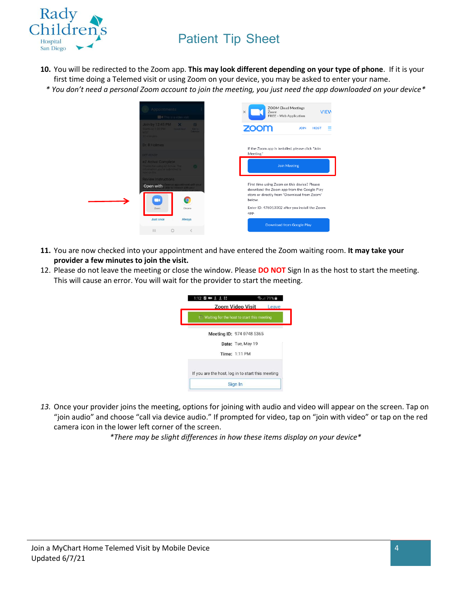

- **10.** You will be redirected to the Zoom app. **This may look different depending on your type of phone**. If it is your first time doing a Telemed visit or using Zoom on your device, you may be asked to enter your name.
	- *\* You don't need a personal Zoom account to join the meeting, you just need the app downloaded on your device\**

| Appointments<br>This is a video visit                                                                              |                                          | Zoom<br>X   | <b>ZOOM Cloud Meetings</b><br><b>VIEW</b><br>FREE - Web Application                                                                       |
|--------------------------------------------------------------------------------------------------------------------|------------------------------------------|-------------|-------------------------------------------------------------------------------------------------------------------------------------------|
| Join by $12:45$ PM $\times$<br>tarts at 1:00 PM Cennet Aprt<br><b>ART</b><br>10 minutes                            | <b>FR</b><br>Addition<br><b>Calentin</b> | <b>ZOOM</b> | <b>JOIN</b><br><b>HOST</b>                                                                                                                |
| <b>Dr. R Holmes</b><br><b>JET READY</b>                                                                            |                                          | Meeting."   | If the Zoom app is installed, please click "Join                                                                                          |
| eZ Arrival Complete<br>harries for using e2 Arrival. The<br>formation you've submitted is<br><b>Lakit tuo avon</b> |                                          |             | <b>Join Meeting</b>                                                                                                                       |
| <b>Review Instructions</b><br>Open with                                                                            |                                          | below.      | First time using Zoom on this device? Please<br>download the Zoom app from the Google Play<br>store or directly from "Download from Zoom" |
| Zoom                                                                                                               | Chrome                                   | app.        | Enter ID: 476013002 after you install the Zoom                                                                                            |
| <b>Just once</b><br>$\mathbf{H}$<br>$\circ$                                                                        | Always<br>$\langle$                      |             | Download from Google Play                                                                                                                 |

- **11.** You are now checked into your appointment and have entered the Zoom waiting room. **It may take your provider a few minutes to join the visit.**
- 12. Please do not leave the meeting or close the window. Please **DO NOT** Sign In as the host to start the meeting. This will cause an error. You will wait for the provider to start the meeting.

|                                                     | Zoom Video Visit          | Leave |
|-----------------------------------------------------|---------------------------|-------|
| <b>I</b> Waiting for the host to start this meeting |                           |       |
|                                                     | Meeting ID: 974 0748 5365 |       |
|                                                     | Date: Tue, May 19         |       |
|                                                     | <b>Time: 1:11 PM</b>      |       |
| If you are the host, log in to start this meeting   |                           |       |
|                                                     | Sign In                   |       |

*13.* Once your provider joins the meeting, options for joining with audio and video will appear on the screen. Tap on "join audio" and choose "call via device audio." If prompted for video, tap on "join with video" or tap on the red camera icon in the lower left corner of the screen.

*\*There may be slight differences in how these items display on your device\**